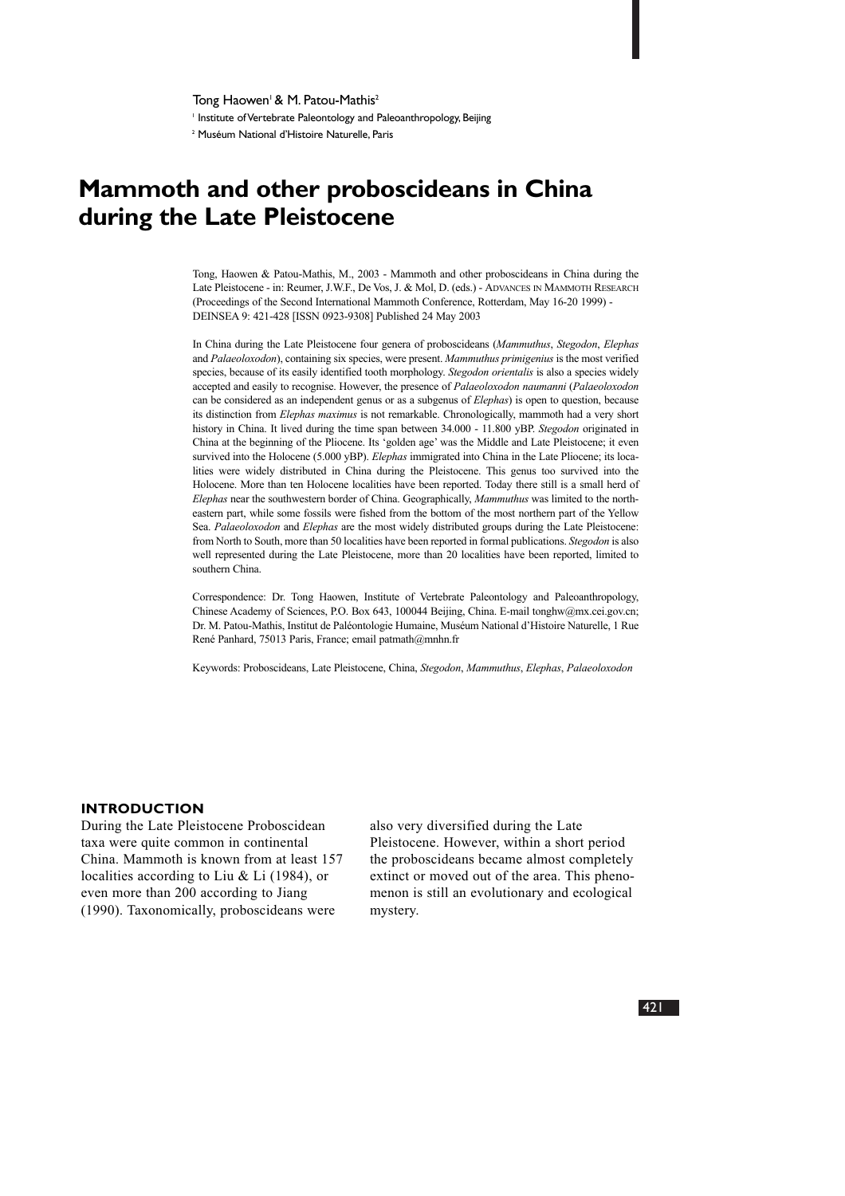Tong Haowen<sup>1</sup> & M. Patou-Mathis<sup>2</sup>

<sup>1</sup> Institute of Vertebrate Paleontology and Paleoanthropology, Beijing

<sup>2</sup> Muséum National d'Histoire Naturelle, Paris

# **Mammoth and other proboscideans in China during the Late Pleistocene**

Tong, Haowen & Patou-Mathis, M., 2003 - Mammoth and other proboscideans in China during the Late Pleistocene - in: Reumer, J.W.F., De Vos, J. & Mol, D. (eds.) - ADVANCES IN MAMMOTH RESEARCH (Proceedings of the Second International Mammoth Conference, Rotterdam, May 16-20 1999) - DEINSEA 9: 421-428 [ISSN 0923-9308] Published 24 May 2003

In China during the Late Pleistocene four genera of proboscideans (*Mammuthus*, *Stegodon*, *Elephas* and *Palaeoloxodon*), containing six species, were present. *Mammuthus primigenius* is the most verified species, because of its easily identified tooth morphology. *Stegodon orientalis* is also a species widely accepted and easily to recognise. However, the presence of *Palaeoloxodon naumanni* (*Palaeoloxodon* can be considered as an independent genus or as a subgenus of *Elephas*) is open to question, because its distinction from *Elephas maximus* is not remarkable. Chronologically, mammoth had a very short history in China. It lived during the time span between 34.000 - 11.800 yBP. *Stegodon* originated in China at the beginning of the Pliocene. Its 'golden age' was the Middle and Late Pleistocene; it even survived into the Holocene (5.000 yBP). *Elephas* immigrated into China in the Late Pliocene; its localities were widely distributed in China during the Pleistocene. This genus too survived into the Holocene. More than ten Holocene localities have been reported. Today there still is a small herd of *Elephas* near the southwestern border of China. Geographically, *Mammuthus* was limited to the northeastern part, while some fossils were fished from the bottom of the most northern part of the Yellow Sea. *Palaeoloxodon* and *Elephas* are the most widely distributed groups during the Late Pleistocene: from North to South, more than 50 localities have been reported in formal publications. *Stegodon* is also well represented during the Late Pleistocene, more than 20 localities have been reported, limited to southern China.

Correspondence: Dr. Tong Haowen, Institute of Vertebrate Paleontology and Paleoanthropology, Chinese Academy of Sciences, P.O. Box 643, 100044 Beijing, China. E-mail tonghw@mx.cei.gov.cn; Dr. M. Patou-Mathis, Institut de Paléontologie Humaine, Muséum National d'Histoire Naturelle, 1 Rue René Panhard, 75013 Paris, France; email patmath@mnhn.fr

Keywords: Proboscideans, Late Pleistocene, China, *Stegodon*, *Mammuthus*, *Elephas*, *Palaeoloxodon*

#### **INTRODUCTION**

During the Late Pleistocene Proboscidean taxa were quite common in continental China. Mammoth is known from at least 157 localities according to Liu & Li (1984), or even more than 200 according to Jiang (1990). Taxonomically, proboscideans were

also very diversified during the Late Pleistocene. However, within a short period the proboscideans became almost completely extinct or moved out of the area. This phenomenon is still an evolutionary and ecological mystery.

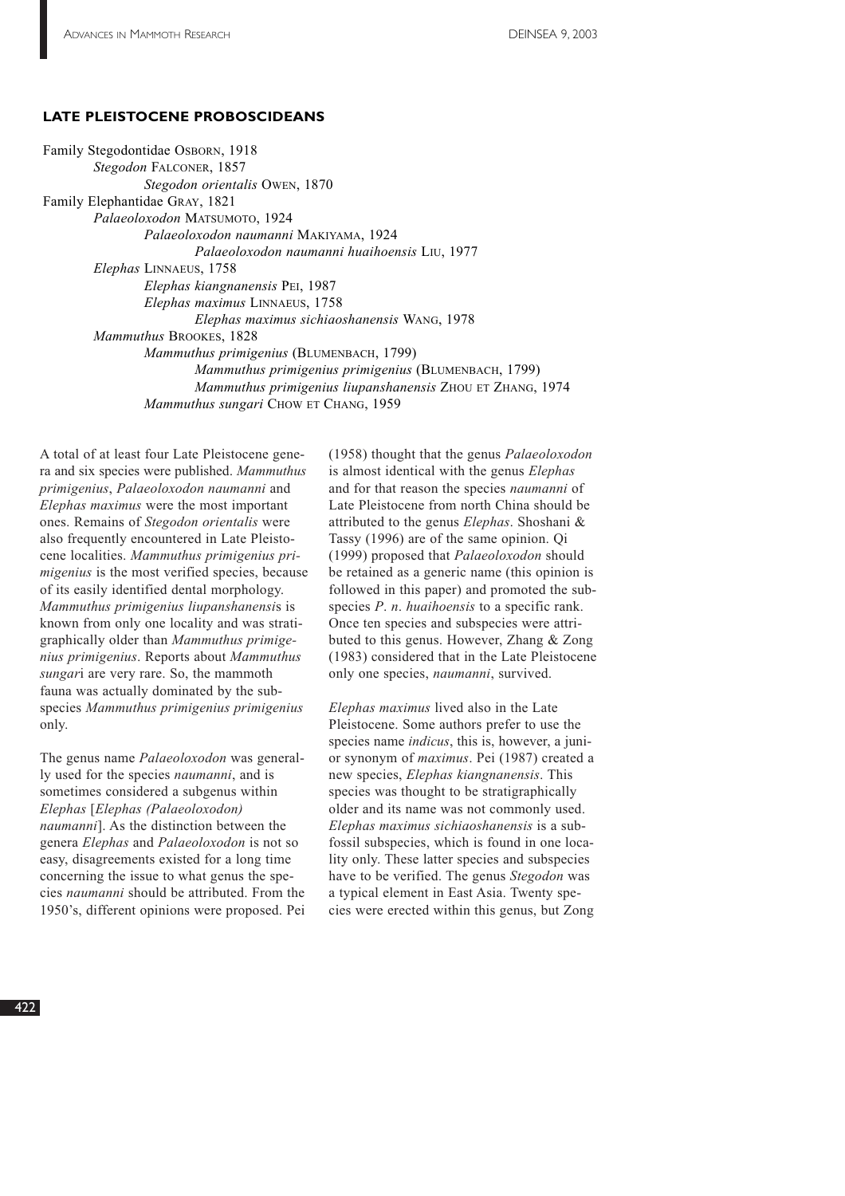## **LATE PLEISTOCENE PROBOSCIDEANS**

Family Stegodontidae OSBORN, 1918 *Stegodon* FALCONER, 1857 *Stegodon orientalis* OWEN, 1870 Family Elephantidae GRAY, 1821 *Palaeoloxodon* MATSUMOTO, 1924 *Palaeoloxodon naumanni* MAKIYAMA, 1924 *Palaeoloxodon naumanni huaihoensis* LIU, 1977 *Elephas* LINNAEUS, 1758 *Elephas kiangnanensis* PEI, 1987 *Elephas maximus* LINNAEUS, 1758 *Elephas maximus sichiaoshanensis* WANG, 1978 *Mammuthus* BROOKES, 1828 *Mammuthus primigenius* (BLUMENBACH, 1799) *Mammuthus primigenius primigenius* (BLUMENBACH, 1799) *Mammuthus primigenius liupanshanensis* ZHOU ET ZHANG, 1974 *Mammuthus sungari* CHOW ET CHANG, 1959

A total of at least four Late Pleistocene genera and six species were published. *Mammuthus primigenius*, *Palaeoloxodon naumanni* and *Elephas maximus* were the most important ones. Remains of *Stegodon orientalis* were also frequently encountered in Late Pleistocene localities. *Mammuthus primigenius primigenius* is the most verified species, because of its easily identified dental morphology. *Mammuthus primigenius liupanshanensi*s is known from only one locality and was stratigraphically older than *Mammuthus primigenius primigenius*. Reports about *Mammuthus sungar*i are very rare. So, the mammoth fauna was actually dominated by the subspecies *Mammuthus primigenius primigenius* only.

The genus name *Palaeoloxodon* was generally used for the species *naumanni*, and is sometimes considered a subgenus within *Elephas* [*Elephas (Palaeoloxodon) naumanni*]. As the distinction between the genera *Elephas* and *Palaeoloxodon* is not so easy, disagreements existed for a long time concerning the issue to what genus the species *naumanni* should be attributed. From the 1950's, different opinions were proposed. Pei (1958) thought that the genus *Palaeoloxodon* is almost identical with the genus *Elephas* and for that reason the species *naumanni* of Late Pleistocene from north China should be attributed to the genus *Elephas*. Shoshani & Tassy (1996) are of the same opinion. Qi (1999) proposed that *Palaeoloxodon* should be retained as a generic name (this opinion is followed in this paper) and promoted the subspecies *P*. *n*. *huaihoensis* to a specific rank. Once ten species and subspecies were attributed to this genus. However, Zhang & Zong (1983) considered that in the Late Pleistocene only one species, *naumanni*, survived.

*Elephas maximus* lived also in the Late Pleistocene. Some authors prefer to use the species name *indicus*, this is, however, a junior synonym of *maximus*. Pei (1987) created a new species, *Elephas kiangnanensis*. This species was thought to be stratigraphically older and its name was not commonly used. *Elephas maximus sichiaoshanensis* is a subfossil subspecies, which is found in one locality only. These latter species and subspecies have to be verified. The genus *Stegodon* was a typical element in East Asia. Twenty species were erected within this genus, but Zong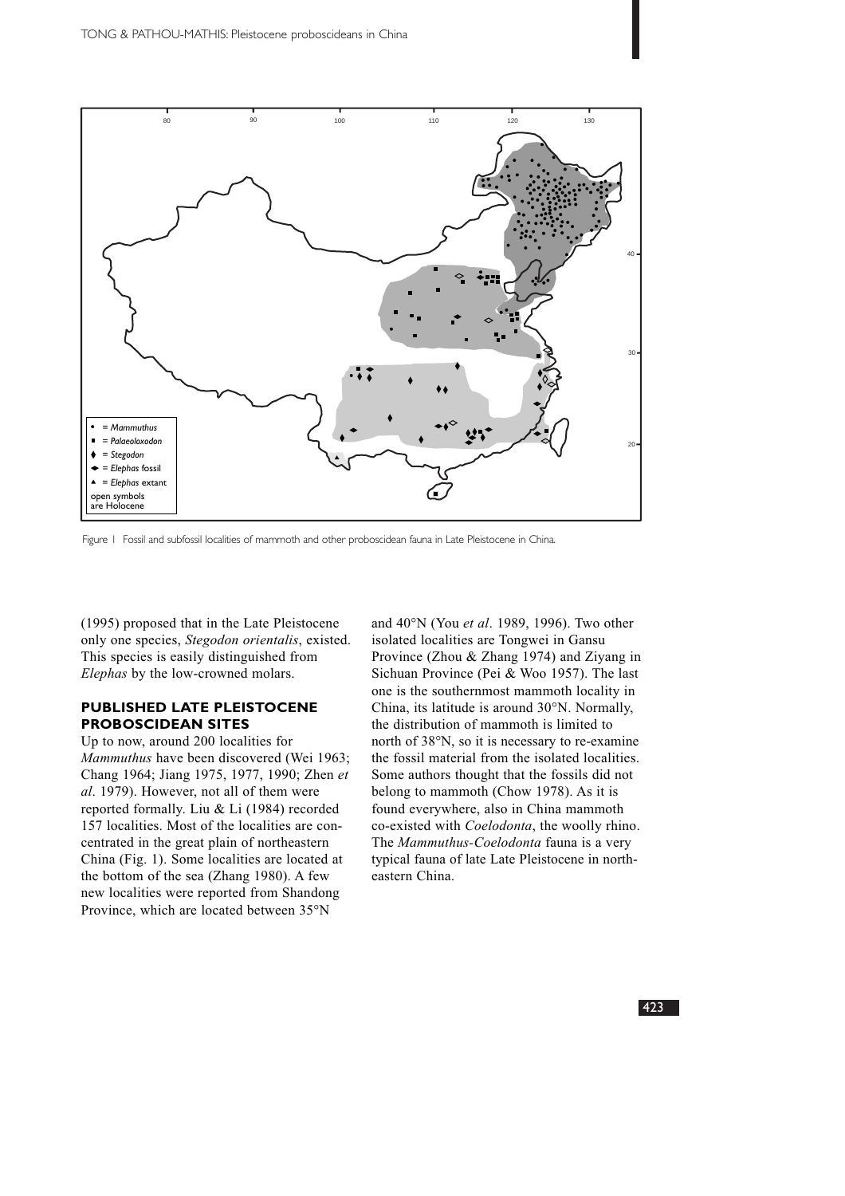

Figure 1 Fossil and subfossil localities of mammoth and other proboscidean fauna in Late Pleistocene in China.

(1995) proposed that in the Late Pleistocene only one species, *Stegodon orientalis*, existed. This species is easily distinguished from *Elephas* by the low-crowned molars.

## **PUBLISHED LATE PLEISTOCENE PROBOSCIDEAN SITES**

Up to now, around 200 localities for *Mammuthus* have been discovered (Wei 1963; Chang 1964; Jiang 1975, 1977, 1990; Zhen *et al*. 1979). However, not all of them were reported formally. Liu & Li (1984) recorded 157 localities. Most of the localities are concentrated in the great plain of northeastern China (Fig. 1). Some localities are located at the bottom of the sea (Zhang 1980). A few new localities were reported from Shandong Province, which are located between 35°N

and 40°N (You *et al*. 1989, 1996). Two other isolated localities are Tongwei in Gansu Province (Zhou & Zhang 1974) and Ziyang in Sichuan Province (Pei & Woo 1957). The last one is the southernmost mammoth locality in China, its latitude is around 30°N. Normally, the distribution of mammoth is limited to north of 38°N, so it is necessary to re-examine the fossil material from the isolated localities. Some authors thought that the fossils did not belong to mammoth (Chow 1978). As it is found everywhere, also in China mammoth co-existed with *Coelodonta*, the woolly rhino. The *Mammuthus-Coelodonta* fauna is a very typical fauna of late Late Pleistocene in northeastern China.

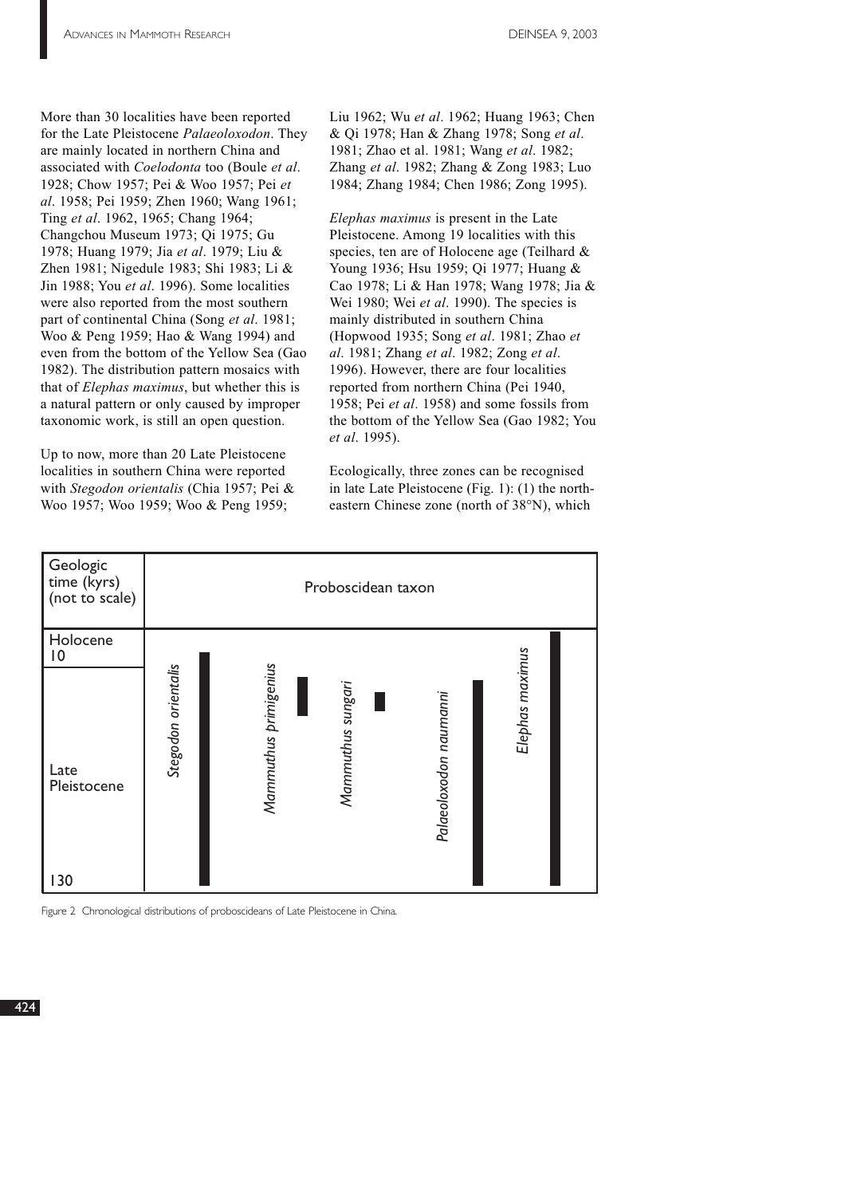More than 30 localities have been reported for the Late Pleistocene *Palaeoloxodon*. They are mainly located in northern China and associated with *Coelodonta* too (Boule *et al*. 1928; Chow 1957; Pei & Woo 1957; Pei *et al*. 1958; Pei 1959; Zhen 1960; Wang 1961; Ting *et al*. 1962, 1965; Chang 1964; Changchou Museum 1973; Qi 1975; Gu 1978; Huang 1979; Jia *et al*. 1979; Liu & Zhen 1981; Nigedule 1983; Shi 1983; Li & Jin 1988; You *et al*. 1996). Some localities were also reported from the most southern part of continental China (Song *et al*. 1981; Woo & Peng 1959; Hao & Wang 1994) and even from the bottom of the Yellow Sea (Gao 1982). The distribution pattern mosaics with that of *Elephas maximus*, but whether this is a natural pattern or only caused by improper taxonomic work, is still an open question.

Up to now, more than 20 Late Pleistocene localities in southern China were reported with *Stegodon orientalis* (Chia 1957; Pei & Woo 1957; Woo 1959; Woo & Peng 1959;

Liu 1962; Wu *et al*. 1962; Huang 1963; Chen & Qi 1978; Han & Zhang 1978; Song *et al*. 1981; Zhao et al. 1981; Wang *et al*. 1982; Zhang *et al*. 1982; Zhang & Zong 1983; Luo 1984; Zhang 1984; Chen 1986; Zong 1995).

*Elephas maximus* is present in the Late Pleistocene. Among 19 localities with this species, ten are of Holocene age (Teilhard & Young 1936; Hsu 1959; Qi 1977; Huang & Cao 1978; Li & Han 1978; Wang 1978; Jia & Wei 1980; Wei *et al*. 1990). The species is mainly distributed in southern China (Hopwood 1935; Song *et al*. 1981; Zhao *et al*. 1981; Zhang *et al*. 1982; Zong *et al*. 1996). However, there are four localities reported from northern China (Pei 1940, 1958; Pei *et al*. 1958) and some fossils from the bottom of the Yellow Sea (Gao 1982; You *et al*. 1995).

Ecologically, three zones can be recognised in late Late Pleistocene (Fig. 1): (1) the northeastern Chinese zone (north of 38°N), which



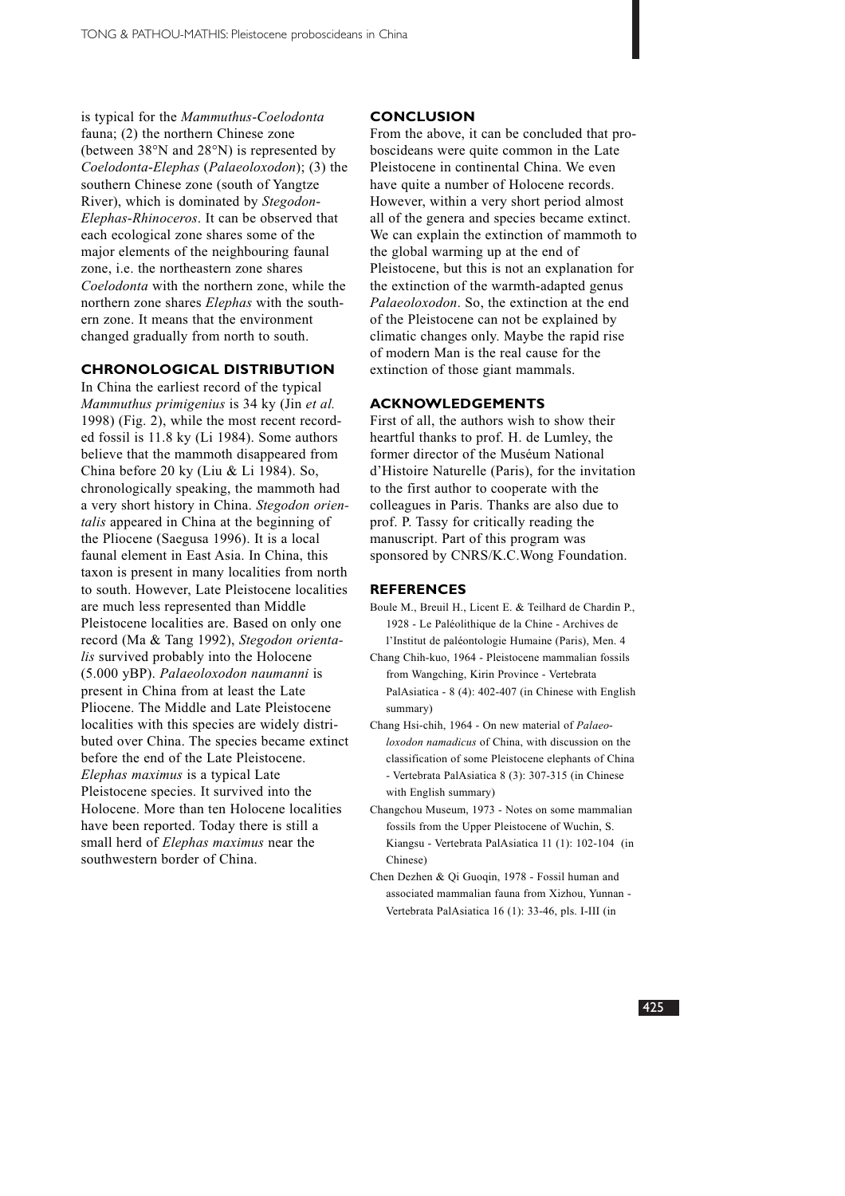is typical for the *Mammuthus*-*Coelodonta* fauna; (2) the northern Chinese zone (between 38°N and 28°N) is represented by *Coelodonta*-*Elephas* (*Palaeoloxodon*); (3) the southern Chinese zone (south of Yangtze River), which is dominated by *Stegodon*-*Elephas*-*Rhinoceros*. It can be observed that each ecological zone shares some of the major elements of the neighbouring faunal zone, i.e. the northeastern zone shares *Coelodonta* with the northern zone, while the northern zone shares *Elephas* with the southern zone. It means that the environment changed gradually from north to south.

### **CHRONOLOGICAL DISTRIBUTION**

In China the earliest record of the typical *Mammuthus primigenius* is 34 ky (Jin *et al.* 1998) (Fig. 2), while the most recent recorded fossil is 11.8 ky (Li 1984). Some authors believe that the mammoth disappeared from China before 20 ky (Liu & Li 1984). So, chronologically speaking, the mammoth had a very short history in China. *Stegodon orientalis* appeared in China at the beginning of the Pliocene (Saegusa 1996). It is a local faunal element in East Asia. In China, this taxon is present in many localities from north to south. However, Late Pleistocene localities are much less represented than Middle Pleistocene localities are. Based on only one record (Ma & Tang 1992), *Stegodon orientalis* survived probably into the Holocene (5.000 yBP). *Palaeoloxodon naumanni* is present in China from at least the Late Pliocene. The Middle and Late Pleistocene localities with this species are widely distributed over China. The species became extinct before the end of the Late Pleistocene. *Elephas maximus* is a typical Late Pleistocene species. It survived into the Holocene. More than ten Holocene localities have been reported. Today there is still a small herd of *Elephas maximus* near the southwestern border of China.

#### **CONCLUSION**

From the above, it can be concluded that proboscideans were quite common in the Late Pleistocene in continental China. We even have quite a number of Holocene records. However, within a very short period almost all of the genera and species became extinct. We can explain the extinction of mammoth to the global warming up at the end of Pleistocene, but this is not an explanation for the extinction of the warmth-adapted genus *Palaeoloxodon*. So, the extinction at the end of the Pleistocene can not be explained by climatic changes only. Maybe the rapid rise of modern Man is the real cause for the extinction of those giant mammals.

#### **ACKNOWLEDGEMENTS**

First of all, the authors wish to show their heartful thanks to prof. H. de Lumley, the former director of the Muséum National d'Histoire Naturelle (Paris), for the invitation to the first author to cooperate with the colleagues in Paris. Thanks are also due to prof. P. Tassy for critically reading the manuscript. Part of this program was sponsored by CNRS/K.C.Wong Foundation.

#### **REFERENCES**

- Boule M., Breuil H., Licent E. & Teilhard de Chardin P., 1928 - Le Paléolithique de la Chine - Archives de l'Institut de paléontologie Humaine (Paris), Men. 4
- Chang Chih-kuo, 1964 Pleistocene mammalian fossils from Wangching, Kirin Province - Vertebrata PalAsiatica - 8 (4): 402-407 (in Chinese with English summary)
- Chang Hsi-chih, 1964 On new material of *Palaeoloxodon namadicus* of China, with discussion on the classification of some Pleistocene elephants of China - Vertebrata PalAsiatica 8 (3): 307-315 (in Chinese with English summary)
- Changchou Museum, 1973 Notes on some mammalian fossils from the Upper Pleistocene of Wuchin, S. Kiangsu - Vertebrata PalAsiatica 11 (1): 102-104 (in Chinese)
- Chen Dezhen & Qi Guoqin, 1978 Fossil human and associated mammalian fauna from Xizhou, Yunnan - Vertebrata PalAsiatica 16 (1): 33-46, pls. I-III (in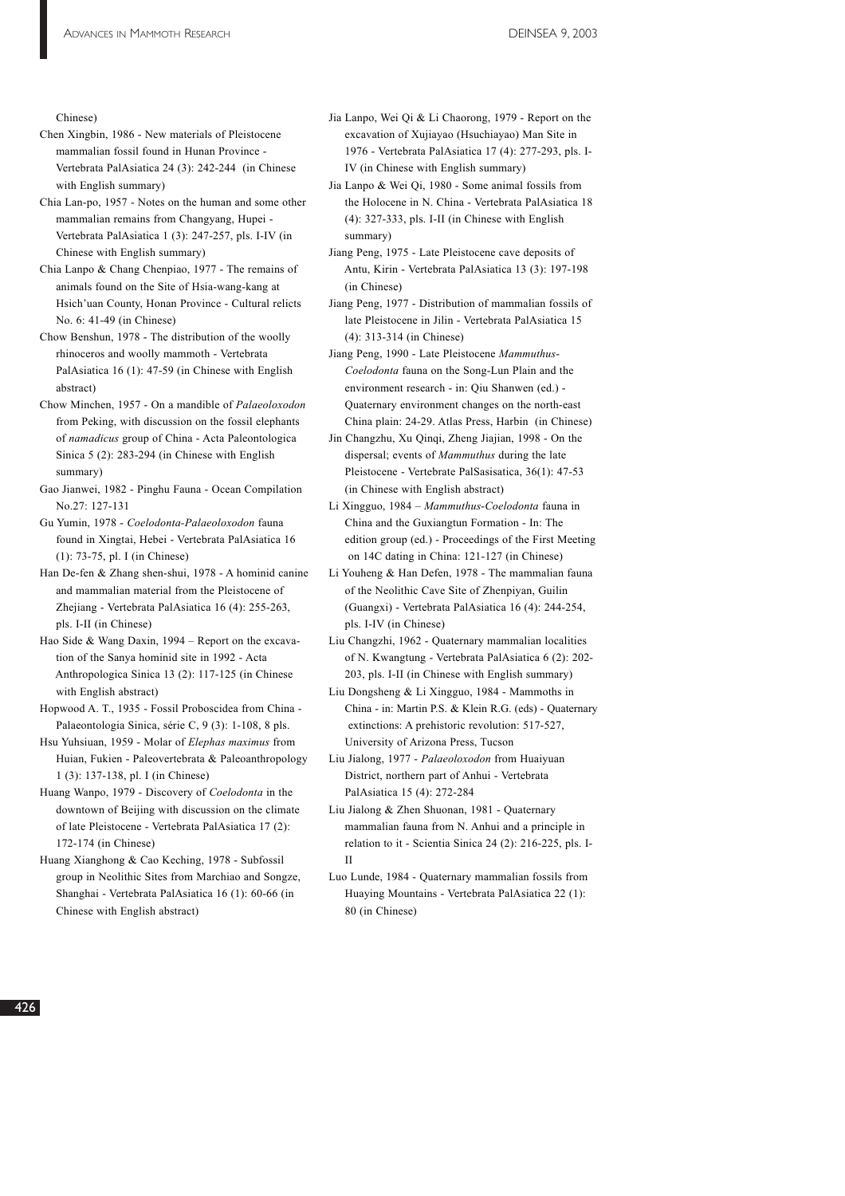#### Chinese)

- Chen Xingbin, 1986 New materials of Pleistocene mammalian fossil found in Hunan Province - Vertebrata PalAsiatica 24 (3): 242-244 (in Chinese with English summary)
- Chia Lan-po, 1957 Notes on the human and some other mammalian remains from Changyang, Hupei - Vertebrata PalAsiatica 1 (3): 247-257, pls. I-IV (in Chinese with English summary)
- Chia Lanpo & Chang Chenpiao, 1977 The remains of animals found on the Site of Hsia-wang-kang at Hsich'uan County, Honan Province - Cultural relicts No. 6: 41-49 (in Chinese)
- Chow Benshun, 1978 The distribution of the woolly rhinoceros and woolly mammoth - Vertebrata PalAsiatica 16 (1): 47-59 (in Chinese with English abstract)
- Chow Minchen, 1957 On a mandible of *Palaeoloxodon* from Peking, with discussion on the fossil elephants of *namadicus* group of China - Acta Paleontologica Sinica 5 (2): 283-294 (in Chinese with English summary)
- Gao Jianwei, 1982 Pinghu Fauna Ocean Compilation No.27: 127-131
- Gu Yumin, 1978 *Coelodonta-Palaeoloxodon* fauna found in Xingtai, Hebei - Vertebrata PalAsiatica 16 (1): 73-75, pl. I (in Chinese)
- Han De-fen & Zhang shen-shui, 1978 A hominid canine and mammalian material from the Pleistocene of Zhejiang - Vertebrata PalAsiatica 16 (4): 255-263, pls. I-II (in Chinese)
- Hao Side & Wang Daxin, 1994 Report on the excavation of the Sanya hominid site in 1992 - Acta Anthropologica Sinica 13 (2): 117-125 (in Chinese with English abstract)
- Hopwood A. T., 1935 Fossil Proboscidea from China Palaeontologia Sinica, série C, 9 (3): 1-108, 8 pls.
- Hsu Yuhsiuan, 1959 Molar of *Elephas maximus* from Huian, Fukien - Paleovertebrata & Paleoanthropology 1 (3): 137-138, pl. I (in Chinese)
- Huang Wanpo, 1979 Discovery of *Coelodonta* in the downtown of Beijing with discussion on the climate of late Pleistocene - Vertebrata PalAsiatica 17 (2): 172-174 (in Chinese)
- Huang Xianghong & Cao Keching, 1978 Subfossil group in Neolithic Sites from Marchiao and Songze, Shanghai - Vertebrata PalAsiatica 16 (1): 60-66 (in Chinese with English abstract)
- Jia Lanpo, Wei Qi & Li Chaorong, 1979 Report on the excavation of Xujiayao (Hsuchiayao) Man Site in 1976 - Vertebrata PalAsiatica 17 (4): 277-293, pls. I-IV (in Chinese with English summary)
- Jia Lanpo & Wei Qi, 1980 Some animal fossils from the Holocene in N. China - Vertebrata PalAsiatica 18 (4): 327-333, pls. I-II (in Chinese with English summary)
- Jiang Peng, 1975 Late Pleistocene cave deposits of Antu, Kirin - Vertebrata PalAsiatica 13 (3): 197-198 (in Chinese)
- Jiang Peng, 1977 Distribution of mammalian fossils of late Pleistocene in Jilin - Vertebrata PalAsiatica 15 (4): 313-314 (in Chinese)
- Jiang Peng, 1990 Late Pleistocene *Mammuthus*-*Coelodonta* fauna on the Song-Lun Plain and the environment research - in: Qiu Shanwen (ed.) - Quaternary environment changes on the north-east China plain: 24-29. Atlas Press, Harbin (in Chinese)
- Jin Changzhu, Xu Qinqi, Zheng Jiajian, 1998 On the dispersal; events of *Mammuthus* during the late Pleistocene - Vertebrate PalSasisatica, 36(1): 47-53 (in Chinese with English abstract)
- Li Xingguo, 1984 *Mammuthus*-*Coelodonta* fauna in China and the Guxiangtun Formation - In: The edition group (ed.) - Proceedings of the First Meeting on 14C dating in China: 121-127 (in Chinese)
- Li Youheng & Han Defen, 1978 The mammalian fauna of the Neolithic Cave Site of Zhenpiyan, Guilin (Guangxi) - Vertebrata PalAsiatica 16 (4): 244-254, pls. I-IV (in Chinese)
- Liu Changzhi, 1962 Quaternary mammalian localities of N. Kwangtung - Vertebrata PalAsiatica 6 (2): 202- 203, pls. I-II (in Chinese with English summary)
- Liu Dongsheng & Li Xingguo, 1984 Mammoths in China - in: Martin P.S. & Klein R.G. (eds) - Quaternary extinctions: A prehistoric revolution: 517-527, University of Arizona Press, Tucson
- Liu Jialong, 1977 *Palaeoloxodon* from Huaiyuan District, northern part of Anhui - Vertebrata PalAsiatica 15 (4): 272-284
- Liu Jialong & Zhen Shuonan, 1981 Quaternary mammalian fauna from N. Anhui and a principle in relation to it - Scientia Sinica 24 (2): 216-225, pls. I-II
- Luo Lunde, 1984 Quaternary mammalian fossils from Huaying Mountains - Vertebrata PalAsiatica 22 (1): 80 (in Chinese)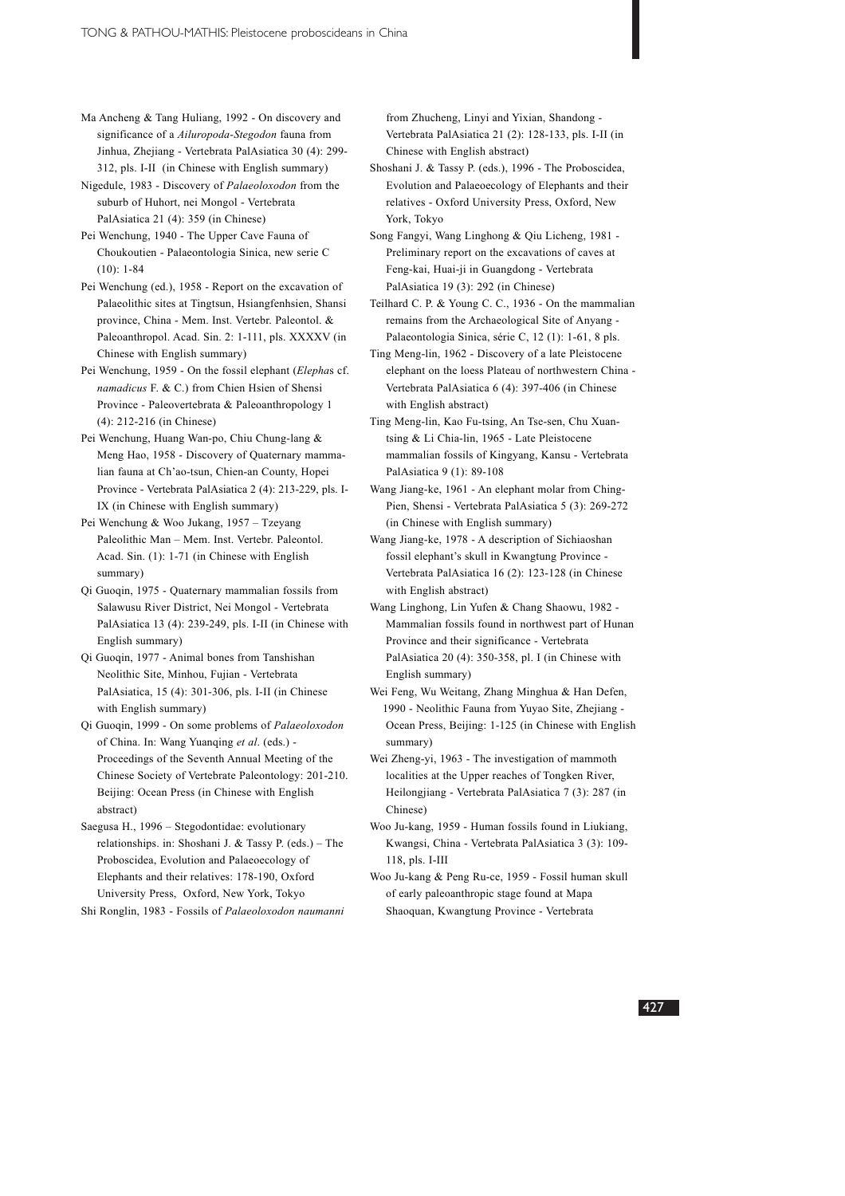- Ma Ancheng & Tang Huliang, 1992 On discovery and significance of a *Ailuropoda*-*Stegodon* fauna from Jinhua, Zhejiang - Vertebrata PalAsiatica 30 (4): 299- 312, pls. I-II (in Chinese with English summary)
- Nigedule, 1983 Discovery of *Palaeoloxodon* from the suburb of Huhort, nei Mongol - Vertebrata PalAsiatica 21 (4): 359 (in Chinese)
- Pei Wenchung, 1940 The Upper Cave Fauna of Choukoutien - Palaeontologia Sinica, new serie C (10): 1-84
- Pei Wenchung (ed.), 1958 Report on the excavation of Palaeolithic sites at Tingtsun, Hsiangfenhsien, Shansi province, China - Mem. Inst. Vertebr. Paleontol. & Paleoanthropol. Acad. Sin. 2: 1-111, pls. XXXXV (in Chinese with English summary)
- Pei Wenchung, 1959 On the fossil elephant (*Elepha*s cf. *namadicus* F. & C.) from Chien Hsien of Shensi Province - Paleovertebrata & Paleoanthropology 1 (4): 212-216 (in Chinese)
- Pei Wenchung, Huang Wan-po, Chiu Chung-lang & Meng Hao, 1958 - Discovery of Quaternary mammalian fauna at Ch'ao-tsun, Chien-an County, Hopei Province - Vertebrata PalAsiatica 2 (4): 213-229, pls. I-IX (in Chinese with English summary)
- Pei Wenchung & Woo Jukang, 1957 Tzeyang Paleolithic Man – Mem. Inst. Vertebr. Paleontol. Acad. Sin. (1): 1-71 (in Chinese with English summary)
- Qi Guoqin, 1975 Quaternary mammalian fossils from Salawusu River District, Nei Mongol - Vertebrata PalAsiatica 13 (4): 239-249, pls. I-II (in Chinese with English summary)
- Qi Guoqin, 1977 Animal bones from Tanshishan Neolithic Site, Minhou, Fujian - Vertebrata PalAsiatica, 15 (4): 301-306, pls. I-II (in Chinese with English summary)
- Qi Guoqin, 1999 On some problems of *Palaeoloxodon* of China. In: Wang Yuanqing *et al*. (eds.) - Proceedings of the Seventh Annual Meeting of the Chinese Society of Vertebrate Paleontology: 201-210. Beijing: Ocean Press (in Chinese with English abstract)
- Saegusa H., 1996 Stegodontidae: evolutionary relationships. in: Shoshani J. & Tassy P. (eds.) – The Proboscidea, Evolution and Palaeoecology of Elephants and their relatives: 178-190, Oxford University Press, Oxford, New York, Tokyo

Shi Ronglin, 1983 - Fossils of *Palaeoloxodon naumanni*

from Zhucheng, Linyi and Yixian, Shandong - Vertebrata PalAsiatica 21 (2): 128-133, pls. I-II (in Chinese with English abstract)

- Shoshani J. & Tassy P. (eds.), 1996 The Proboscidea, Evolution and Palaeoecology of Elephants and their relatives - Oxford University Press, Oxford, New York, Tokyo
- Song Fangyi, Wang Linghong & Qiu Licheng, 1981 Preliminary report on the excavations of caves at Feng-kai, Huai-ji in Guangdong - Vertebrata PalAsiatica 19 (3): 292 (in Chinese)
- Teilhard C. P. & Young C. C., 1936 On the mammalian remains from the Archaeological Site of Anyang - Palaeontologia Sinica, série C, 12 (1): 1-61, 8 pls.
- Ting Meng-lin, 1962 Discovery of a late Pleistocene elephant on the loess Plateau of northwestern China - Vertebrata PalAsiatica 6 (4): 397-406 (in Chinese with English abstract)
- Ting Meng-lin, Kao Fu-tsing, An Tse-sen, Chu Xuantsing & Li Chia-lin, 1965 - Late Pleistocene mammalian fossils of Kingyang, Kansu - Vertebrata PalAsiatica 9 (1): 89-108
- Wang Jiang-ke, 1961 An elephant molar from Ching-Pien, Shensi - Vertebrata PalAsiatica 5 (3): 269-272 (in Chinese with English summary)
- Wang Jiang-ke, 1978 A description of Sichiaoshan fossil elephant's skull in Kwangtung Province - Vertebrata PalAsiatica 16 (2): 123-128 (in Chinese with English abstract)
- Wang Linghong, Lin Yufen & Chang Shaowu, 1982 Mammalian fossils found in northwest part of Hunan Province and their significance - Vertebrata PalAsiatica 20 (4): 350-358, pl. I (in Chinese with English summary)
- Wei Feng, Wu Weitang, Zhang Minghua & Han Defen, 1990 - Neolithic Fauna from Yuyao Site, Zhejiang - Ocean Press, Beijing: 1-125 (in Chinese with English summary)
- Wei Zheng-yi, 1963 The investigation of mammoth localities at the Upper reaches of Tongken River, Heilongjiang - Vertebrata PalAsiatica 7 (3): 287 (in Chinese)
- Woo Ju-kang, 1959 Human fossils found in Liukiang, Kwangsi, China - Vertebrata PalAsiatica 3 (3): 109- 118, pls. I-III
- Woo Ju-kang & Peng Ru-ce, 1959 Fossil human skull of early paleoanthropic stage found at Mapa Shaoquan, Kwangtung Province - Vertebrata